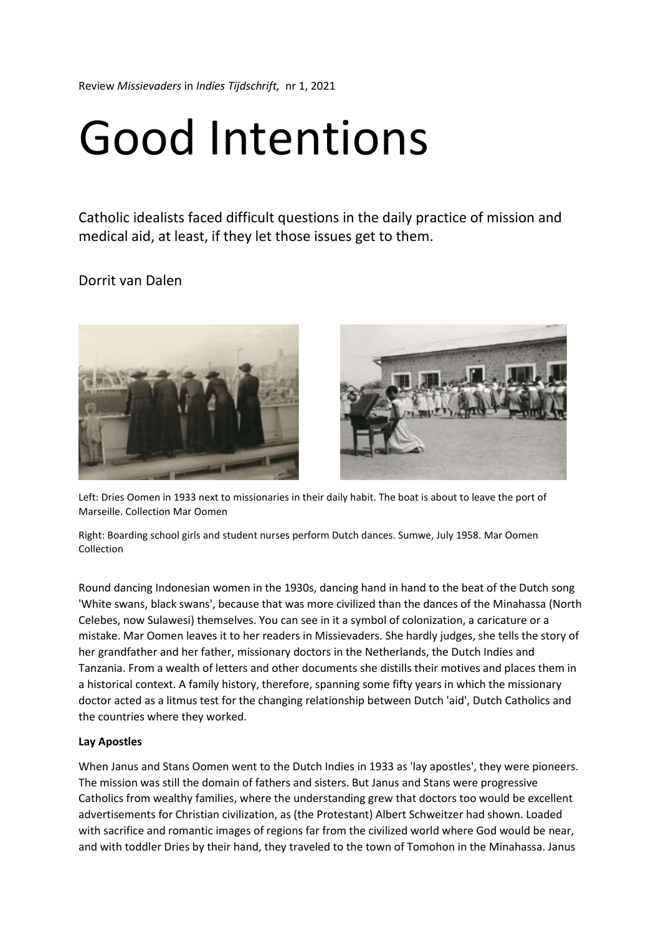Review *Missievaders* in *Indies Tijdschrift,* nr 1, 2021

## Good Intentions

Catholic idealists faced difficult questions in the daily practice of mission and medical aid, at least, if they let those issues get to them.

Dorrit van Dalen





Left: Dries Oomen in 1933 next to missionaries in their daily habit. The boat is about to leave the port of Marseille. Collection Mar Oomen

Right: Boarding school girls and student nurses perform Dutch dances. Sumwe, July 1958. Mar Oomen Collection

Round dancing Indonesian women in the 1930s, dancing hand in hand to the beat of the Dutch song 'White swans, black swans', because that was more civilized than the dances of the Minahassa (North Celebes, now Sulawesi) themselves. You can see in it a symbol of colonization, a caricature or a mistake. Mar Oomen leaves it to her readers in Missievaders. She hardly judges, she tells the story of her grandfather and her father, missionary doctors in the Netherlands, the Dutch Indies and Tanzania. From a wealth of letters and other documents she distills their motives and places them in a historical context. A family history, therefore, spanning some fifty years in which the missionary doctor acted as a litmus test for the changing relationship between Dutch 'aid', Dutch Catholics and the countries where they worked.

## **Lay Apostles**

When Janus and Stans Oomen went to the Dutch Indies in 1933 as 'lay apostles', they were pioneers. The mission was still the domain of fathers and sisters. But Janus and Stans were progressive Catholics from wealthy families, where the understanding grew that doctors too would be excellent advertisements for Christian civilization, as (the Protestant) Albert Schweitzer had shown. Loaded with sacrifice and romantic images of regions far from the civilized world where God would be near, and with toddler Dries by their hand, they traveled to the town of Tomohon in the Minahassa. Janus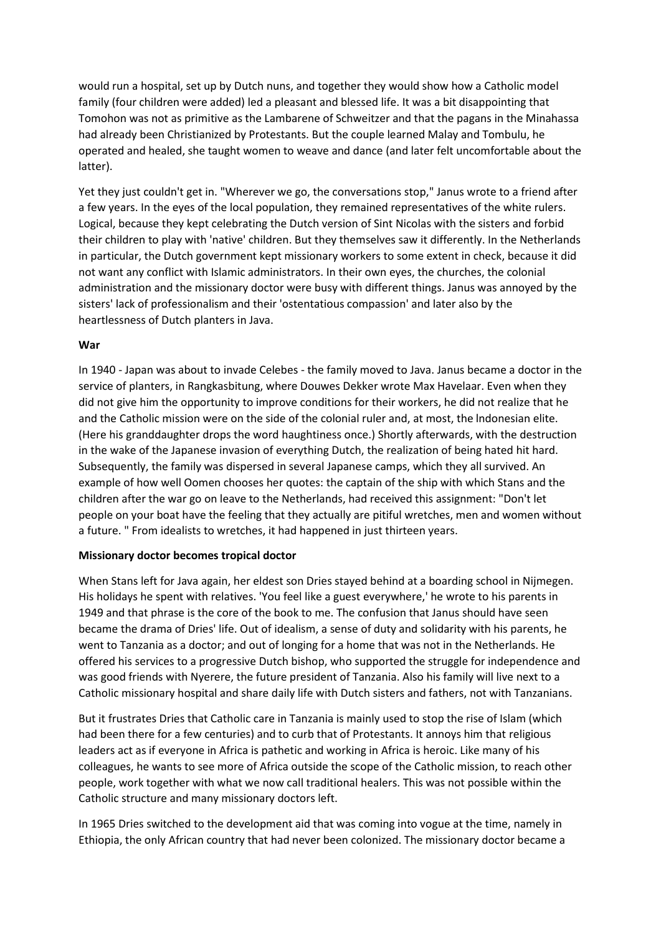would run a hospital, set up by Dutch nuns, and together they would show how a Catholic model family (four children were added) led a pleasant and blessed life. It was a bit disappointing that Tomohon was not as primitive as the Lambarene of Schweitzer and that the pagans in the Minahassa had already been Christianized by Protestants. But the couple learned Malay and Tombulu, he operated and healed, she taught women to weave and dance (and later felt uncomfortable about the latter).

Yet they just couldn't get in. "Wherever we go, the conversations stop," Janus wrote to a friend after a few years. In the eyes of the local population, they remained representatives of the white rulers. Logical, because they kept celebrating the Dutch version of Sint Nicolas with the sisters and forbid their children to play with 'native' children. But they themselves saw it differently. In the Netherlands in particular, the Dutch government kept missionary workers to some extent in check, because it did not want any conflict with Islamic administrators. In their own eyes, the churches, the colonial administration and the missionary doctor were busy with different things. Janus was annoyed by the sisters' lack of professionalism and their 'ostentatious compassion' and later also by the heartlessness of Dutch planters in Java.

## **War**

In 1940 - Japan was about to invade Celebes - the family moved to Java. Janus became a doctor in the service of planters, in Rangkasbitung, where Douwes Dekker wrote Max Havelaar. Even when they did not give him the opportunity to improve conditions for their workers, he did not realize that he and the Catholic mission were on the side of the colonial ruler and, at most, the lndonesian elite. (Here his granddaughter drops the word haughtiness once.) Shortly afterwards, with the destruction in the wake of the Japanese invasion of everything Dutch, the realization of being hated hit hard. Subsequently, the family was dispersed in several Japanese camps, which they all survived. An example of how well Oomen chooses her quotes: the captain of the ship with which Stans and the children after the war go on leave to the Netherlands, had received this assignment: "Don't let people on your boat have the feeling that they actually are pitiful wretches, men and women without a future. " From idealists to wretches, it had happened in just thirteen years.

## **Missionary doctor becomes tropical doctor**

When Stans left for Java again, her eldest son Dries stayed behind at a boarding school in Nijmegen. His holidays he spent with relatives. 'You feel like a guest everywhere,' he wrote to his parents in 1949 and that phrase is the core of the book to me. The confusion that Janus should have seen became the drama of Dries' life. Out of idealism, a sense of duty and solidarity with his parents, he went to Tanzania as a doctor; and out of longing for a home that was not in the Netherlands. He offered his services to a progressive Dutch bishop, who supported the struggle for independence and was good friends with Nyerere, the future president of Tanzania. Also his family will live next to a Catholic missionary hospital and share daily life with Dutch sisters and fathers, not with Tanzanians.

But it frustrates Dries that Catholic care in Tanzania is mainly used to stop the rise of Islam (which had been there for a few centuries) and to curb that of Protestants. It annoys him that religious leaders act as if everyone in Africa is pathetic and working in Africa is heroic. Like many of his colleagues, he wants to see more of Africa outside the scope of the Catholic mission, to reach other people, work together with what we now call traditional healers. This was not possible within the Catholic structure and many missionary doctors left.

In 1965 Dries switched to the development aid that was coming into vogue at the time, namely in Ethiopia, the only African country that had never been colonized. The missionary doctor became a